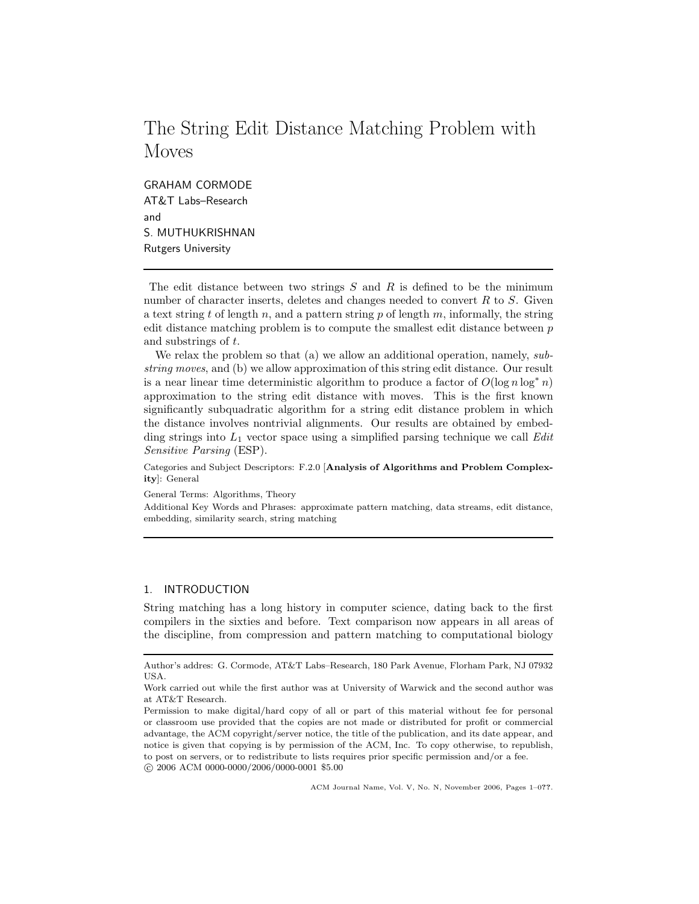# The String Edit Distance Matching Problem with **Moves**

GRAHAM CORMODE AT&T Labs–Research and S. MUTHUKRISHNAN Rutgers University

The edit distance between two strings  $S$  and  $R$  is defined to be the minimum number of character inserts, deletes and changes needed to convert  $R$  to  $S$ . Given a text string t of length n, and a pattern string p of length  $m$ , informally, the string edit distance matching problem is to compute the smallest edit distance between p and substrings of t.

We relax the problem so that (a) we allow an additional operation, namely, substring moves, and (b) we allow approximation of this string edit distance. Our result is a near linear time deterministic algorithm to produce a factor of  $O(\log n \log^* n)$ approximation to the string edit distance with moves. This is the first known significantly subquadratic algorithm for a string edit distance problem in which the distance involves nontrivial alignments. Our results are obtained by embedding strings into  $L_1$  vector space using a simplified parsing technique we call  $Edit$ Sensitive Parsing (ESP).

Categories and Subject Descriptors: F.2.0 [Analysis of Algorithms and Problem Complexity]: General

General Terms: Algorithms, Theory

Additional Key Words and Phrases: approximate pattern matching, data streams, edit distance, embedding, similarity search, string matching

#### 1. INTRODUCTION

String matching has a long history in computer science, dating back to the first compilers in the sixties and before. Text comparison now appears in all areas of the discipline, from compression and pattern matching to computational biology

Author's addres: G. Cormode, AT&T Labs–Research, 180 Park Avenue, Florham Park, NJ 07932 USA.

Work carried out while the first author was at University of Warwick and the second author was at AT&T Research.

Permission to make digital/hard copy of all or part of this material without fee for personal or classroom use provided that the copies are not made or distributed for profit or commercial advantage, the ACM copyright/server notice, the title of the publication, and its date appear, and notice is given that copying is by permission of the ACM, Inc. To copy otherwise, to republish, to post on servers, or to redistribute to lists requires prior specific permission and/or a fee. c 2006 ACM 0000-0000/2006/0000-0001 \$5.00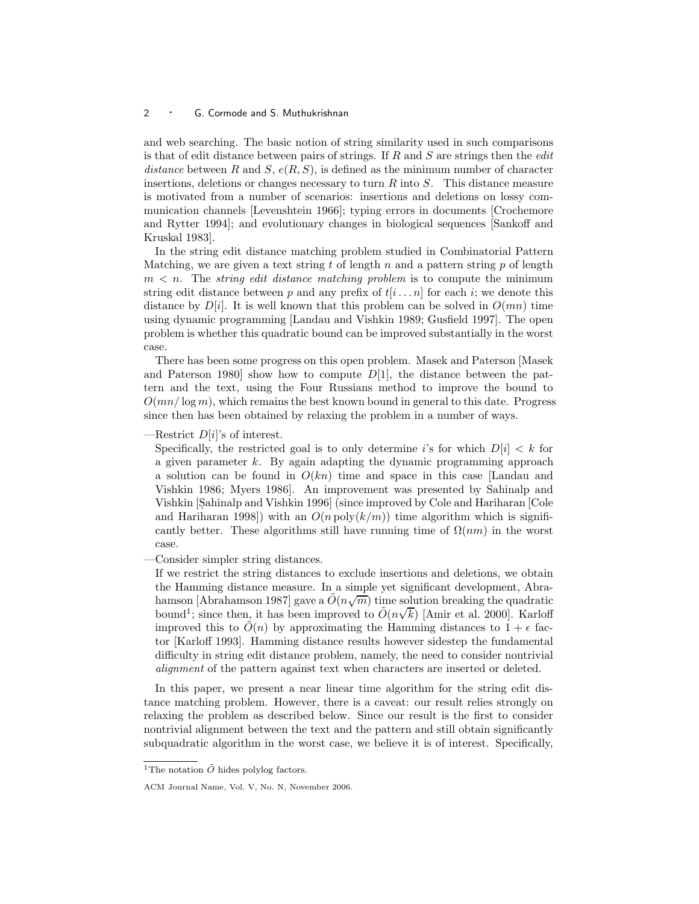and web searching. The basic notion of string similarity used in such comparisons is that of edit distance between pairs of strings. If  $R$  and  $S$  are strings then the *edit* distance between R and S,  $e(R, S)$ , is defined as the minimum number of character insertions, deletions or changes necessary to turn  $R$  into  $S$ . This distance measure is motivated from a number of scenarios: insertions and deletions on lossy communication channels [Levenshtein 1966]; typing errors in documents [Crochemore and Rytter 1994]; and evolutionary changes in biological sequences [Sankoff and Kruskal 1983].

In the string edit distance matching problem studied in Combinatorial Pattern Matching, we are given a text string t of length  $n$  and a pattern string  $p$  of length  $m < n$ . The *string edit distance matching problem* is to compute the minimum string edit distance between p and any prefix of  $t[i \dots n]$  for each i; we denote this distance by  $D[i]$ . It is well known that this problem can be solved in  $O(mn)$  time using dynamic programming [Landau and Vishkin 1989; Gusfield 1997]. The open problem is whether this quadratic bound can be improved substantially in the worst case.

There has been some progress on this open problem. Masek and Paterson [Masek and Paterson 1980] show how to compute  $D[1]$ , the distance between the pattern and the text, using the Four Russians method to improve the bound to  $O(mn/\log m)$ , which remains the best known bound in general to this date. Progress since then has been obtained by relaxing the problem in a number of ways.

-Restrict  $D[i]$ 's of interest.

Specifically, the restricted goal is to only determine is for which  $D[i] < k$  for a given parameter  $k$ . By again adapting the dynamic programming approach a solution can be found in  $O(kn)$  time and space in this case [Landau and Vishkin 1986; Myers 1986]. An improvement was presented by Sahinalp and Vishkin [Sahinalp and Vishkin 1996] (since improved by Cole and Hariharan [Cole and Hariharan 1998) with an  $O(n \text{ poly}(k/m))$  time algorithm which is significantly better. These algorithms still have running time of  $\Omega(nm)$  in the worst case.

—Consider simpler string distances.

If we restrict the string distances to exclude insertions and deletions, we obtain the Hamming distance measure. In a simple yet significant development, Abrahamson [Abrahamson 1987] gave a  $\tilde{O}(n\sqrt{m})$  time solution breaking the quadratic bound<sup>1</sup>; since then, it has been improved to  $\tilde{O}(n\sqrt{k})$  [Amir et al. 2000]. Karloff improved this to  $O(n)$  by approximating the Hamming distances to  $1 + \epsilon$  factor [Karloff 1993]. Hamming distance results however sidestep the fundamental difficulty in string edit distance problem, namely, the need to consider nontrivial alignment of the pattern against text when characters are inserted or deleted.

In this paper, we present a near linear time algorithm for the string edit distance matching problem. However, there is a caveat: our result relies strongly on relaxing the problem as described below. Since our result is the first to consider nontrivial alignment between the text and the pattern and still obtain significantly subquadratic algorithm in the worst case, we believe it is of interest. Specifically,

<sup>&</sup>lt;sup>1</sup>The notation  $\tilde{O}$  hides polylog factors.

ACM Journal Name, Vol. V, No. N, November 2006.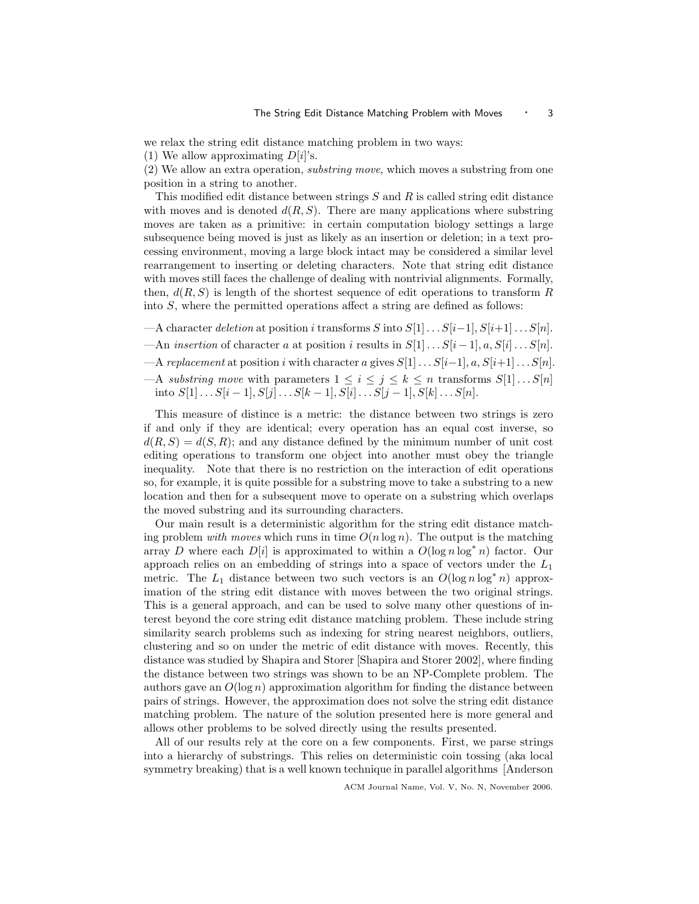we relax the string edit distance matching problem in two ways:

(1) We allow approximating  $D[i]$ 's.

(2) We allow an extra operation, substring move, which moves a substring from one position in a string to another.

This modified edit distance between strings  $S$  and  $R$  is called string edit distance with moves and is denoted  $d(R, S)$ . There are many applications where substring moves are taken as a primitive: in certain computation biology settings a large subsequence being moved is just as likely as an insertion or deletion; in a text processing environment, moving a large block intact may be considered a similar level rearrangement to inserting or deleting characters. Note that string edit distance with moves still faces the challenge of dealing with nontrivial alignments. Formally, then,  $d(R, S)$  is length of the shortest sequence of edit operations to transform R into S, where the permitted operations affect a string are defined as follows:

- —A character deletion at position i transforms S into  $S[1] \ldots S[i-1], S[i+1] \ldots S[n].$
- —An insertion of character a at position i results in  $S[1] \dots S[i-1], a, S[i] \dots S[n].$
- —A replacement at position i with character a gives  $S[1] \dots S[i-1], a, S[i+1] \dots S[n].$
- —A substring move with parameters  $1 \leq i \leq j \leq k \leq n$  transforms  $S[1] \dots S[n]$ into  $S[1] \dots S[i-1], S[j] \dots S[k-1], S[i] \dots S[j-1], S[k] \dots S[n]$ .

This measure of distince is a metric: the distance between two strings is zero if and only if they are identical; every operation has an equal cost inverse, so  $d(R, S) = d(S, R)$ ; and any distance defined by the minimum number of unit cost editing operations to transform one object into another must obey the triangle inequality. Note that there is no restriction on the interaction of edit operations so, for example, it is quite possible for a substring move to take a substring to a new location and then for a subsequent move to operate on a substring which overlaps the moved substring and its surrounding characters.

Our main result is a deterministic algorithm for the string edit distance matching problem with moves which runs in time  $O(n \log n)$ . The output is the matching array D where each  $D[i]$  is approximated to within a  $O(\log n \log^* n)$  factor. Our approach relies on an embedding of strings into a space of vectors under the  $L_1$ metric. The  $L_1$  distance between two such vectors is an  $O(\log n \log^* n)$  approximation of the string edit distance with moves between the two original strings. This is a general approach, and can be used to solve many other questions of interest beyond the core string edit distance matching problem. These include string similarity search problems such as indexing for string nearest neighbors, outliers, clustering and so on under the metric of edit distance with moves. Recently, this distance was studied by Shapira and Storer [Shapira and Storer 2002], where finding the distance between two strings was shown to be an NP-Complete problem. The authors gave an  $O(\log n)$  approximation algorithm for finding the distance between pairs of strings. However, the approximation does not solve the string edit distance matching problem. The nature of the solution presented here is more general and allows other problems to be solved directly using the results presented.

All of our results rely at the core on a few components. First, we parse strings into a hierarchy of substrings. This relies on deterministic coin tossing (aka local symmetry breaking) that is a well known technique in parallel algorithms [Anderson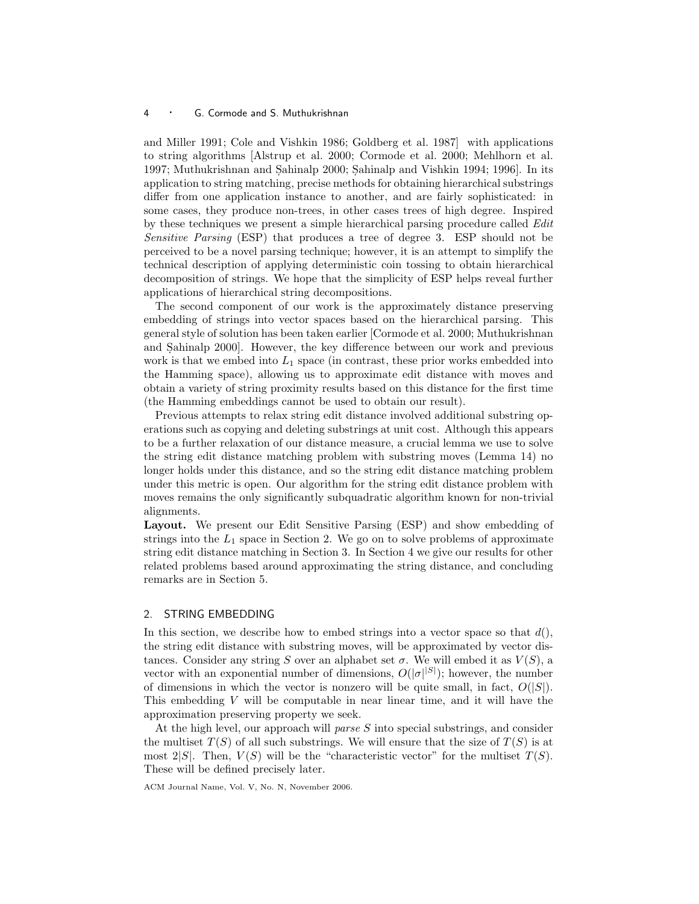and Miller 1991; Cole and Vishkin 1986; Goldberg et al. 1987] with applications to string algorithms [Alstrup et al. 2000; Cormode et al. 2000; Mehlhorn et al. 1997; Muthukrishnan and Sahinalp 2000; Sahinalp and Vishkin 1994; 1996. In its application to string matching, precise methods for obtaining hierarchical substrings differ from one application instance to another, and are fairly sophisticated: in some cases, they produce non-trees, in other cases trees of high degree. Inspired by these techniques we present a simple hierarchical parsing procedure called Edit Sensitive Parsing (ESP) that produces a tree of degree 3. ESP should not be perceived to be a novel parsing technique; however, it is an attempt to simplify the technical description of applying deterministic coin tossing to obtain hierarchical decomposition of strings. We hope that the simplicity of ESP helps reveal further applications of hierarchical string decompositions.

The second component of our work is the approximately distance preserving embedding of strings into vector spaces based on the hierarchical parsing. This general style of solution has been taken earlier [Cormode et al. 2000; Muthukrishnan and Sahinalp 2000]. However, the key difference between our work and previous work is that we embed into  $L_1$  space (in contrast, these prior works embedded into the Hamming space), allowing us to approximate edit distance with moves and obtain a variety of string proximity results based on this distance for the first time (the Hamming embeddings cannot be used to obtain our result).

Previous attempts to relax string edit distance involved additional substring operations such as copying and deleting substrings at unit cost. Although this appears to be a further relaxation of our distance measure, a crucial lemma we use to solve the string edit distance matching problem with substring moves (Lemma 14) no longer holds under this distance, and so the string edit distance matching problem under this metric is open. Our algorithm for the string edit distance problem with moves remains the only significantly subquadratic algorithm known for non-trivial alignments.

Layout. We present our Edit Sensitive Parsing (ESP) and show embedding of strings into the  $L_1$  space in Section 2. We go on to solve problems of approximate string edit distance matching in Section 3. In Section 4 we give our results for other related problems based around approximating the string distance, and concluding remarks are in Section 5.

## 2. STRING EMBEDDING

In this section, we describe how to embed strings into a vector space so that  $d()$ , the string edit distance with substring moves, will be approximated by vector distances. Consider any string S over an alphabet set  $\sigma$ . We will embed it as  $V(S)$ , a vector with an exponential number of dimensions,  $O(|\sigma|^{|S|})$ ; however, the number of dimensions in which the vector is nonzero will be quite small, in fact,  $O(|S|)$ . This embedding V will be computable in near linear time, and it will have the approximation preserving property we seek.

At the high level, our approach will parse S into special substrings, and consider the multiset  $T(S)$  of all such substrings. We will ensure that the size of  $T(S)$  is at most 2|S|. Then,  $V(S)$  will be the "characteristic vector" for the multiset  $T(S)$ . These will be defined precisely later.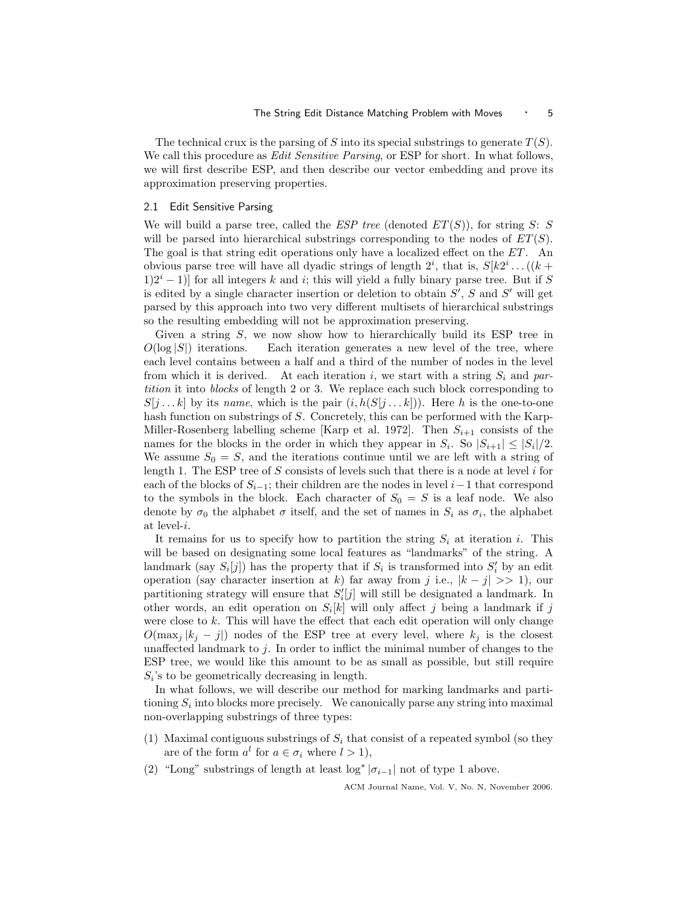The technical crux is the parsing of S into its special substrings to generate  $T(S)$ . We call this procedure as *Edit Sensitive Parsing*, or ESP for short. In what follows, we will first describe ESP, and then describe our vector embedding and prove its approximation preserving properties.

## 2.1 Edit Sensitive Parsing

We will build a parse tree, called the *ESP tree* (denoted  $ET(S)$ ), for string S: S will be parsed into hierarchical substrings corresponding to the nodes of  $ET(S)$ . The goal is that string edit operations only have a localized effect on the  $ET$ . An obvious parse tree will have all dyadic strings of length  $2^i$ , that is,  $S[k2^i \dots ((k +$  $[1]$ <sup>2i</sup> − 1)] for all integers k and i; this will yield a fully binary parse tree. But if S is edited by a single character insertion or deletion to obtain  $S'$ ,  $S$  and  $S'$  will get parsed by this approach into two very different multisets of hierarchical substrings so the resulting embedding will not be approximation preserving.

Given a string  $S$ , we now show how to hierarchically build its ESP tree in  $O(\log |S|)$  iterations. Each iteration generates a new level of the tree, where each level contains between a half and a third of the number of nodes in the level from which it is derived. At each iteration i, we start with a string  $S_i$  and partition it into blocks of length 2 or 3. We replace each such block corresponding to  $S[j...k]$  by its name, which is the pair  $(i, h(S[j...k]))$ . Here h is the one-to-one hash function on substrings of S. Concretely, this can be performed with the Karp-Miller-Rosenberg labelling scheme [Karp et al. 1972]. Then  $S_{i+1}$  consists of the names for the blocks in the order in which they appear in  $S_i$ . So  $|S_{i+1}| \leq |S_i|/2$ . We assume  $S_0 = S$ , and the iterations continue until we are left with a string of length 1. The ESP tree of  $S$  consists of levels such that there is a node at level  $i$  for each of the blocks of  $S_{i-1}$ ; their children are the nodes in level  $i-1$  that correspond to the symbols in the block. Each character of  $S_0 = S$  is a leaf node. We also denote by  $\sigma_0$  the alphabet  $\sigma$  itself, and the set of names in  $S_i$  as  $\sigma_i$ , the alphabet at level-i.

It remains for us to specify how to partition the string  $S_i$  at iteration i. This will be based on designating some local features as "landmarks" of the string. A landmark (say  $S_i[j]$ ) has the property that if  $S_i$  is transformed into  $S_i'$  by an edit operation (say character insertion at k) far away from j i.e.,  $|k - j| >> 1$ , our partitioning strategy will ensure that  $S_i'[j]$  will still be designated a landmark. In other words, an edit operation on  $S_i[k]$  will only affect j being a landmark if j were close to  $k$ . This will have the effect that each edit operation will only change  $O(\max_j |k_j - j|)$  nodes of the ESP tree at every level, where  $k_j$  is the closest unaffected landmark to  $j$ . In order to inflict the minimal number of changes to the ESP tree, we would like this amount to be as small as possible, but still require  $S_i$ 's to be geometrically decreasing in length.

In what follows, we will describe our method for marking landmarks and partitioning  $S_i$  into blocks more precisely. We canonically parse any string into maximal non-overlapping substrings of three types:

- (1) Maximal contiguous substrings of  $S_i$  that consist of a repeated symbol (so they are of the form  $a^l$  for  $a \in \sigma_i$  where  $l > 1$ ),
- (2) "Long" substrings of length at least  $\log^* |\sigma_{i-1}|$  not of type 1 above.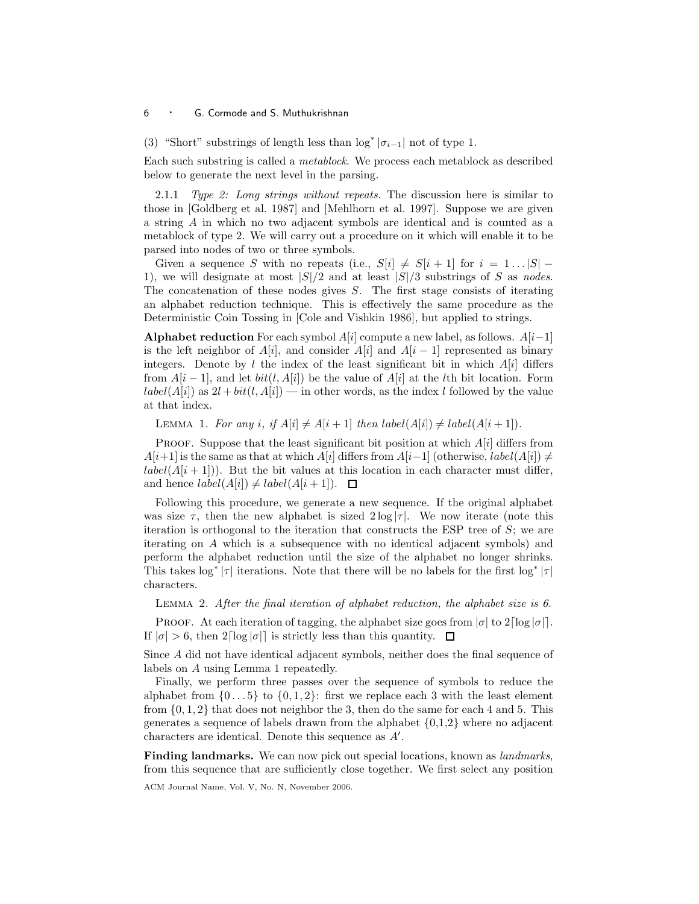(3) "Short" substrings of length less than log<sup>\*</sup>  $|\sigma_{i-1}|$  not of type 1.

Each such substring is called a metablock. We process each metablock as described below to generate the next level in the parsing.

2.1.1 Type 2: Long strings without repeats. The discussion here is similar to those in [Goldberg et al. 1987] and [Mehlhorn et al. 1997]. Suppose we are given a string A in which no two adjacent symbols are identical and is counted as a metablock of type 2. We will carry out a procedure on it which will enable it to be parsed into nodes of two or three symbols.

Given a sequence S with no repeats (i.e.,  $S[i] \neq S[i + 1]$  for  $i = 1 \dots |S|$  – 1), we will designate at most  $|S|/2$  and at least  $|S|/3$  substrings of S as nodes. The concatenation of these nodes gives S. The first stage consists of iterating an alphabet reduction technique. This is effectively the same procedure as the Deterministic Coin Tossing in [Cole and Vishkin 1986], but applied to strings.

Alphabet reduction For each symbol  $A[i]$  compute a new label, as follows.  $A[i-1]$ is the left neighbor of  $A[i]$ , and consider  $A[i]$  and  $A[i-1]$  represented as binary integers. Denote by l the index of the least significant bit in which  $A[i]$  differs from  $A[i-1]$ , and let  $bit(l, A[i])$  be the value of  $A[i]$  at the lth bit location. Form  $label(A[i])$  as  $2l + bit(l, A[i])$  — in other words, as the index l followed by the value at that index.

LEMMA 1. For any i, if  $A[i] \neq A[i + 1]$  then  $label(A[i]) \neq label(A[i + 1])$ .

PROOF. Suppose that the least significant bit position at which  $A[i]$  differs from  $A[i+1]$  is the same as that at which  $A[i]$  differs from  $A[i-1]$  (otherwise, *label*( $A[i]$ )  $\neq$  $label(A[i+1])$ . But the bit values at this location in each character must differ, and hence  $label(A[i]) \neq label(A[i+1])$ .  $\Box$ 

Following this procedure, we generate a new sequence. If the original alphabet was size  $\tau$ , then the new alphabet is sized  $2 \log |\tau|$ . We now iterate (note this iteration is orthogonal to the iteration that constructs the ESP tree of  $S$ ; we are iterating on A which is a subsequence with no identical adjacent symbols) and perform the alphabet reduction until the size of the alphabet no longer shrinks. This takes  $\log^* |\tau|$  iterations. Note that there will be no labels for the first  $\log^* |\tau|$ characters.

Lemma 2. After the final iteration of alphabet reduction, the alphabet size is 6.

PROOF. At each iteration of tagging, the alphabet size goes from  $|\sigma|$  to  $2\lceil \log |\sigma| \rceil$ . If  $|\sigma| > 6$ , then  $2\lceil \log |\sigma| \rceil$  is strictly less than this quantity.  $\Box$ 

Since A did not have identical adjacent symbols, neither does the final sequence of labels on A using Lemma 1 repeatedly.

Finally, we perform three passes over the sequence of symbols to reduce the alphabet from  $\{0 \dots 5\}$  to  $\{0, 1, 2\}$ : first we replace each 3 with the least element from  $\{0, 1, 2\}$  that does not neighbor the 3, then do the same for each 4 and 5. This generates a sequence of labels drawn from the alphabet  ${0,1,2}$  where no adjacent characters are identical. Denote this sequence as A′ .

Finding landmarks. We can now pick out special locations, known as landmarks, from this sequence that are sufficiently close together. We first select any position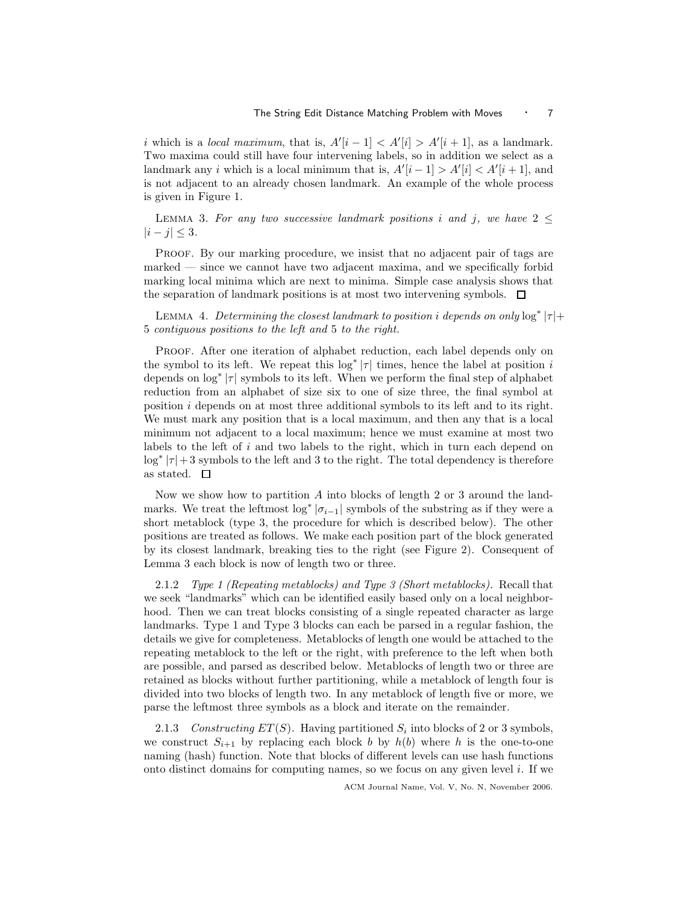i which is a *local maximum*, that is,  $A'[i-1] < A'[i] > A'[i+1]$ , as a landmark. Two maxima could still have four intervening labels, so in addition we select as a landmark any *i* which is a local minimum that is,  $A'[i-1] > A'[i] < A'[i+1]$ , and is not adjacent to an already chosen landmark. An example of the whole process is given in Figure 1.

LEMMA 3. For any two successive landmark positions i and j, we have  $2 \leq$  $|i - j| \leq 3$ .

Proof. By our marking procedure, we insist that no adjacent pair of tags are marked — since we cannot have two adjacent maxima, and we specifically forbid marking local minima which are next to minima. Simple case analysis shows that the separation of landmark positions is at most two intervening symbols.  $\Box$ 

LEMMA 4. Determining the closest landmark to position i depends on only  $\log^* |\tau|$ + 5 contiguous positions to the left and 5 to the right.

PROOF. After one iteration of alphabet reduction, each label depends only on the symbol to its left. We repeat this  $\log^* |\tau|$  times, hence the label at position *i* depends on  $\log^* |\tau|$  symbols to its left. When we perform the final step of alphabet reduction from an alphabet of size six to one of size three, the final symbol at position i depends on at most three additional symbols to its left and to its right. We must mark any position that is a local maximum, and then any that is a local minimum not adjacent to a local maximum; hence we must examine at most two labels to the left of i and two labels to the right, which in turn each depend on  $\log^*|\tau|+3$  symbols to the left and 3 to the right. The total dependency is therefore as stated.  $\square$ 

Now we show how to partition A into blocks of length 2 or 3 around the landmarks. We treat the leftmost  $\log^* |\sigma_{i-1}|$  symbols of the substring as if they were a short metablock (type 3, the procedure for which is described below). The other positions are treated as follows. We make each position part of the block generated by its closest landmark, breaking ties to the right (see Figure 2). Consequent of Lemma 3 each block is now of length two or three.

2.1.2 Type 1 (Repeating metablocks) and Type 3 (Short metablocks). Recall that we seek "landmarks" which can be identified easily based only on a local neighborhood. Then we can treat blocks consisting of a single repeated character as large landmarks. Type 1 and Type 3 blocks can each be parsed in a regular fashion, the details we give for completeness. Metablocks of length one would be attached to the repeating metablock to the left or the right, with preference to the left when both are possible, and parsed as described below. Metablocks of length two or three are retained as blocks without further partitioning, while a metablock of length four is divided into two blocks of length two. In any metablock of length five or more, we parse the leftmost three symbols as a block and iterate on the remainder.

2.1.3 Constructing  $ET(S)$ . Having partitioned  $S_i$  into blocks of 2 or 3 symbols, we construct  $S_{i+1}$  by replacing each block b by  $h(b)$  where h is the one-to-one naming (hash) function. Note that blocks of different levels can use hash functions onto distinct domains for computing names, so we focus on any given level  $i$ . If we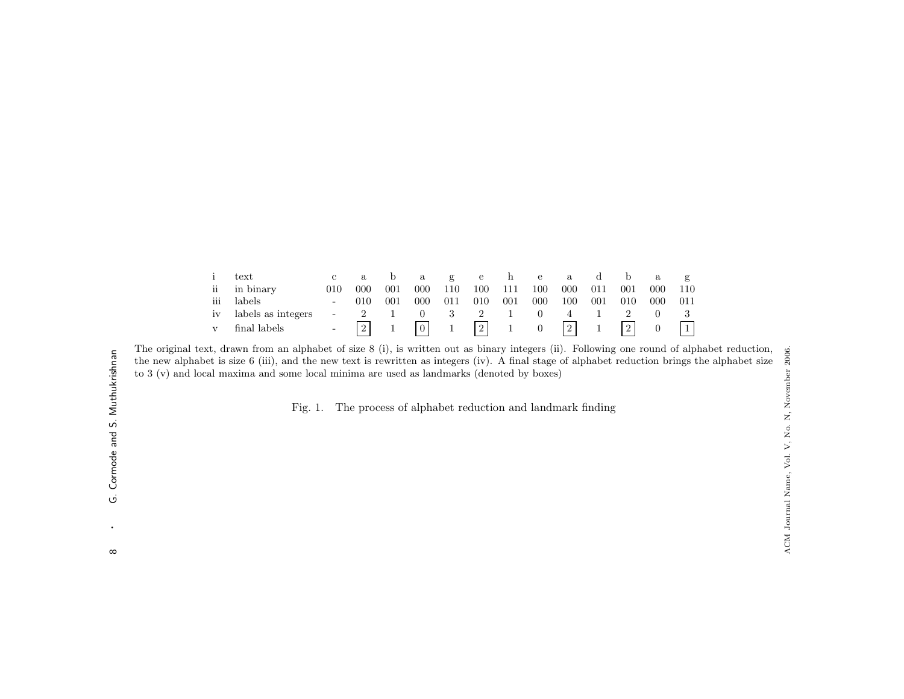|                         | text               |                          | a   | b.  | a   | g            | e   | $h$ and $h$ | e              | a               | $\mathbf d$ | D.               | a   | $g_{\perp}$ |
|-------------------------|--------------------|--------------------------|-----|-----|-----|--------------|-----|-------------|----------------|-----------------|-------------|------------------|-----|-------------|
| $\overline{\mathbf{u}}$ | in binary          | 010                      | 000 | 001 | 000 | 110          | 100 | 111         | 100            | 000             | 011         | 001              | 000 | 110         |
| iii                     | labels             |                          | 010 | 001 | 000 | 011          | 010 | 001         | 000            | 100             | 001         | 010              | 000 | 011         |
| iv                      | labels as integers | $\overline{\phantom{0}}$ |     |     |     |              |     |             |                |                 |             |                  |     |             |
| V                       | final labels       |                          |     |     | 0   | $\mathbf{1}$ | 2   | 1           | $\overline{0}$ | $\vert 2 \vert$ |             | $\left 2\right $ |     |             |

The original text, drawn from an alphabet of size <sup>8</sup> (i), is written out as binary integers (ii). Following one round of alphabet reduction, the new alphabet is size <sup>6</sup> (iii), and the new text is rewritten as integers (iv). A final stage of alphabet reduction brings the alphabet size to <sup>3</sup> (v) and local maxima and some local minima are used as landmarks (denoted by boxes)

Fig. 1. The process of alphabet reduction and landmark findin g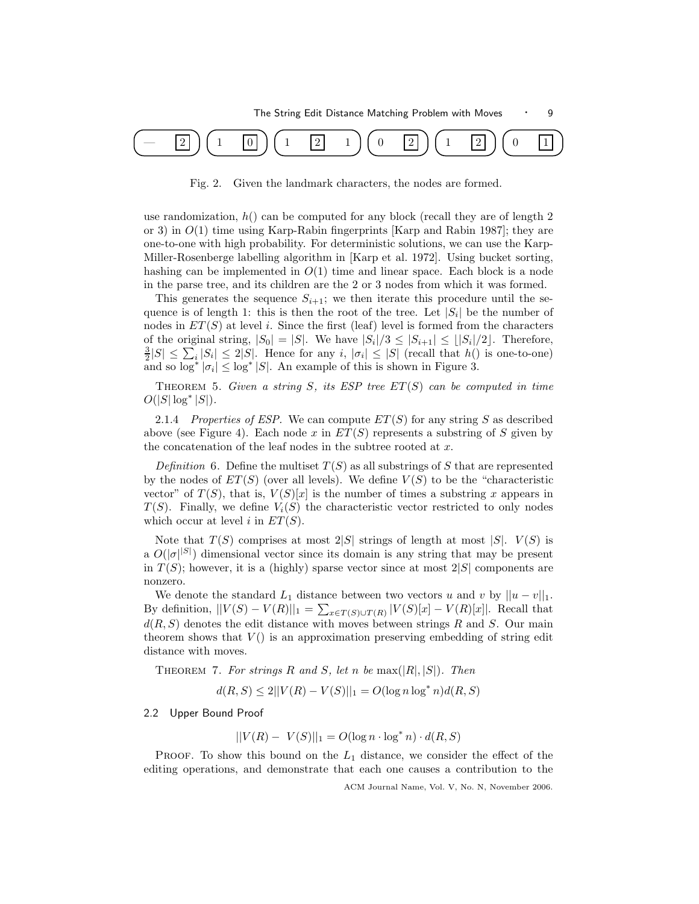

Fig. 2. Given the landmark characters, the nodes are formed.

use randomization,  $h()$  can be computed for any block (recall they are of length 2 or 3) in  $O(1)$  time using Karp-Rabin fingerprints [Karp and Rabin 1987]; they are one-to-one with high probability. For deterministic solutions, we can use the Karp-Miller-Rosenberge labelling algorithm in [Karp et al. 1972]. Using bucket sorting, hashing can be implemented in  $O(1)$  time and linear space. Each block is a node in the parse tree, and its children are the 2 or 3 nodes from which it was formed.

This generates the sequence  $S_{i+1}$ ; we then iterate this procedure until the sequence is of length 1: this is then the root of the tree. Let  $|S_i|$  be the number of nodes in  $ET(S)$  at level i. Since the first (leaf) level is formed from the characters of the original string,  $|S_0| = |S|$ . We have  $|S_i|/3 \leq |S_{i+1}| \leq \lfloor |S_i|/2 \rfloor$ . Therefore,  $\frac{3}{2}|S| \leq \sum_{i} |S_i| \leq 2|S|$ . Hence for any  $i, |\sigma_i| \leq |S|$  (recall that  $h()$  is one-to-one) and so  $\log^* |\sigma_i| \leq \log^* |S|$ . An example of this is shown in Figure 3.

THEOREM 5. Given a string S, its ESP tree  $ET(S)$  can be computed in time  $O(|S|\log^*|S|).$ 

2.1.4 Properties of ESP. We can compute  $ET(S)$  for any string S as described above (see Figure 4). Each node x in  $ET(S)$  represents a substring of S given by the concatenation of the leaf nodes in the subtree rooted at  $x$ .

Definition 6. Define the multiset  $T(S)$  as all substrings of S that are represented by the nodes of  $ET(S)$  (over all levels). We define  $V(S)$  to be the "characteristic vector" of  $T(S)$ , that is,  $V(S)[x]$  is the number of times a substring x appears in  $T(S)$ . Finally, we define  $V_i(S)$  the characteristic vector restricted to only nodes which occur at level i in  $ET(S)$ .

Note that  $T(S)$  comprises at most  $2|S|$  strings of length at most  $|S|$ .  $V(S)$  is a  $O(|\sigma|^{|S|})$  dimensional vector since its domain is any string that may be present in  $T(S)$ ; however, it is a (highly) sparse vector since at most  $2|S|$  components are nonzero.

We denote the standard  $L_1$  distance between two vectors u and v by  $||u - v||_1$ . By definition,  $||V(S) - V(R)||_1 = \sum_{x \in T(S) \cup T(R)} |V(S)[x] - V(R)[x]|$ . Recall that  $d(R, S)$  denotes the edit distance with moves between strings R and S. Our main theorem shows that  $V()$  is an approximation preserving embedding of string edit distance with moves.

THEOREM 7. For strings R and S, let n be  $max(|R|, |S|)$ . Then

 $d(R, S) \leq 2||V(R) - V(S)||_1 = O(\log n \log^* n)d(R, S)$ 

2.2 Upper Bound Proof

 $||V(R) - V(S)||_1 = O(\log n \cdot \log^* n) \cdot d(R, S)$ 

**PROOF.** To show this bound on the  $L_1$  distance, we consider the effect of the editing operations, and demonstrate that each one causes a contribution to the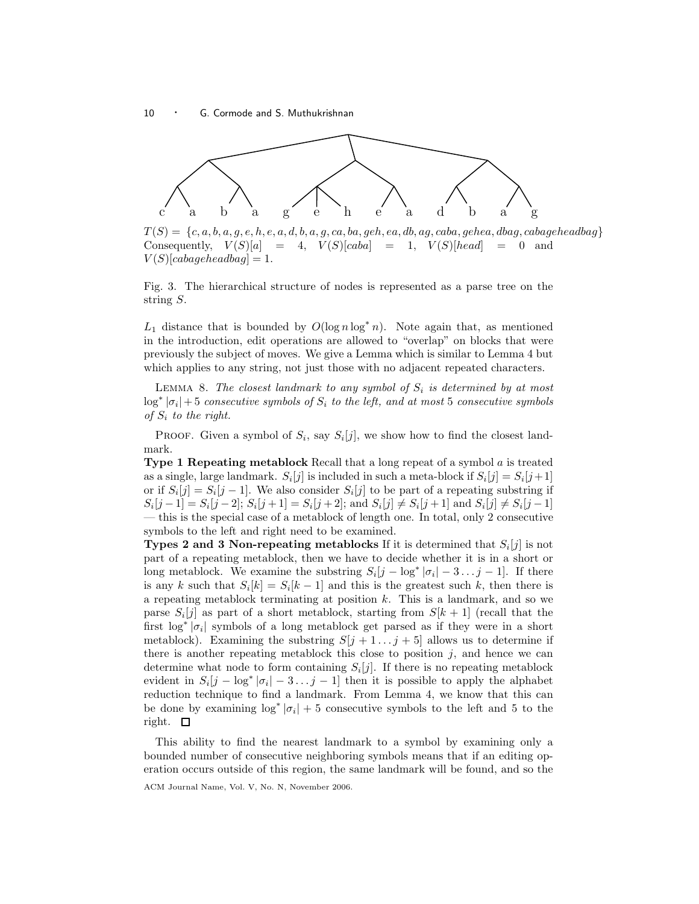

 $T(S) = \{c, a, b, a, g, e, h, e, a, d, b, a, g, ca, ba, geh, ea, db, ag, caba, gehea, dbag, cabageheadbag\}$ <br>Consequently,  $V(S)[a] = 4$ ,  $V(S)[caba] = 1$ ,  $V(S)[head] = 0$  and Consequently,  $V(S)[a] = 4$ ,  $V(S)[caba] = 1$ ,  $V(S)[head]$  $V(S)[cabaqeheadbaq] = 1.$ 

Fig. 3. The hierarchical structure of nodes is represented as a parse tree on the string S.

 $L_1$  distance that is bounded by  $O(\log n \log^* n)$ . Note again that, as mentioned in the introduction, edit operations are allowed to "overlap" on blocks that were previously the subject of moves. We give a Lemma which is similar to Lemma 4 but which applies to any string, not just those with no adjacent repeated characters.

LEMMA 8. The closest landmark to any symbol of  $S_i$  is determined by at most  $\log^* |\sigma_i| + 5$  consecutive symbols of  $S_i$  to the left, and at most 5 consecutive symbols of  $S_i$  to the right.

**PROOF.** Given a symbol of  $S_i$ , say  $S_i[j]$ , we show how to find the closest landmark.

**Type 1 Repeating metablock** Recall that a long repeat of a symbol  $a$  is treated as a single, large landmark.  $S_i[j]$  is included in such a meta-block if  $S_i[j] = S_i[j+1]$ or if  $S_i[j] = S_i[j-1]$ . We also consider  $S_i[j]$  to be part of a repeating substring if  $S_i[j-1] = S_i[j-2]$ ;  $S_i[j+1] = S_i[j+2]$ ; and  $S_i[j] \neq S_i[j+1]$  and  $S_i[j] \neq S_i[j-1]$ — this is the special case of a metablock of length one. In total, only 2 consecutive

symbols to the left and right need to be examined. **Types 2 and 3 Non-repeating metablocks** If it is determined that  $S_i[j]$  is not part of a repeating metablock, then we have to decide whether it is in a short or long metablock. We examine the substring  $S_i[j - \log^* |\sigma_i| - 3 \dots j - 1]$ . If there is any k such that  $S_i[k] = S_i[k-1]$  and this is the greatest such k, then there is a repeating metablock terminating at position  $k$ . This is a landmark, and so we parse  $S_i[j]$  as part of a short metablock, starting from  $S[k+1]$  (recall that the first  $\log^* |\sigma_i|$  symbols of a long metablock get parsed as if they were in a short metablock). Examining the substring  $S[j + 1 \dots j + 5]$  allows us to determine if there is another repeating metablock this close to position  $j$ , and hence we can determine what node to form containing  $S_i[j]$ . If there is no repeating metablock evident in  $S_i[j - \log^* |\sigma_i| - 3 \dots j - 1]$  then it is possible to apply the alphabet reduction technique to find a landmark. From Lemma 4, we know that this can be done by examining  $\log^* |\sigma_i| + 5$  consecutive symbols to the left and 5 to the right.  $\square$ 

This ability to find the nearest landmark to a symbol by examining only a bounded number of consecutive neighboring symbols means that if an editing operation occurs outside of this region, the same landmark will be found, and so the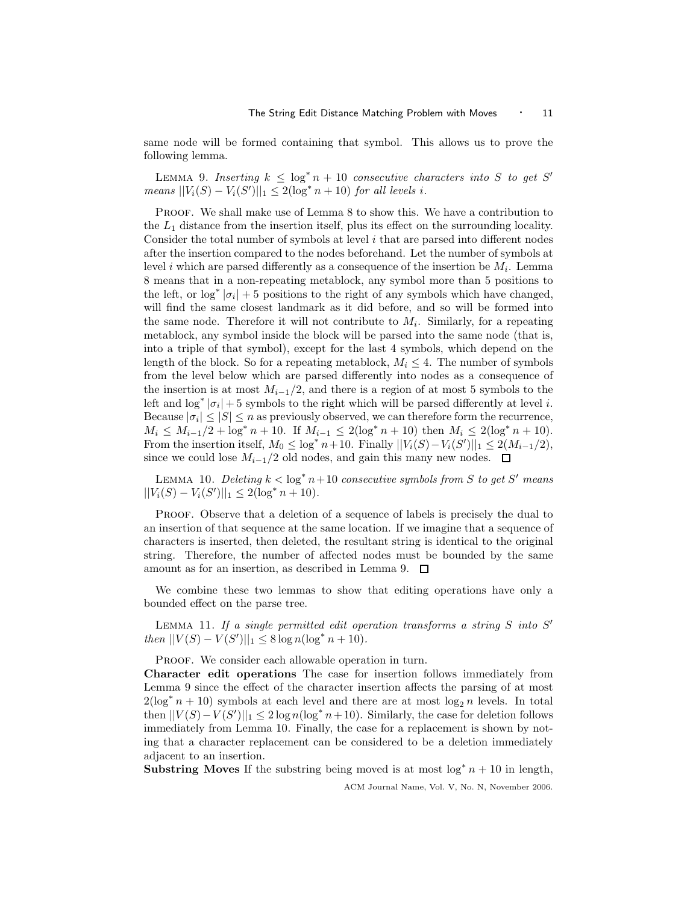same node will be formed containing that symbol. This allows us to prove the following lemma.

LEMMA 9. Inserting  $k \leq \log^* n + 10$  consecutive characters into S to get S'  $means \, ||V_i(S) - V_i(S')||_1 \leq 2(\log^* n + 10) \, for \, all \, levels \, i.$ 

PROOF. We shall make use of Lemma 8 to show this. We have a contribution to the  $L_1$  distance from the insertion itself, plus its effect on the surrounding locality. Consider the total number of symbols at level  $i$  that are parsed into different nodes after the insertion compared to the nodes beforehand. Let the number of symbols at level *i* which are parsed differently as a consequence of the insertion be  $M_i$ . Lemma 8 means that in a non-repeating metablock, any symbol more than 5 positions to the left, or  $\log^* |\sigma_i| + 5$  positions to the right of any symbols which have changed, will find the same closest landmark as it did before, and so will be formed into the same node. Therefore it will not contribute to  $M_i$ . Similarly, for a repeating metablock, any symbol inside the block will be parsed into the same node (that is, into a triple of that symbol), except for the last 4 symbols, which depend on the length of the block. So for a repeating metablock,  $M_i \leq 4$ . The number of symbols from the level below which are parsed differently into nodes as a consequence of the insertion is at most  $M_{i-1}/2$ , and there is a region of at most 5 symbols to the left and  $\log^* |\sigma_i| + 5$  symbols to the right which will be parsed differently at level *i*. Because  $|\sigma_i| \leq |S| \leq n$  as previously observed, we can therefore form the recurrence,  $M_i \leq M_{i-1}/2 + \log^* n + 10$ . If  $M_{i-1} \leq 2(\log^* n + 10)$  then  $M_i \leq 2(\log^* n + 10)$ . From the insertion itself,  $M_0 \leq \log^* n + 10$ . Finally  $||V_i(S) - V_i(S')||_1 \leq 2(M_{i-1}/2)$ , since we could lose  $M_{i-1}/2$  old nodes, and gain this many new nodes.  $\Box$ 

LEMMA 10. Deleting  $k < log^* n + 10$  consecutive symbols from S to get S' means  $||V_i(S) - V_i(S')||_1 \leq 2(\log^* n + 10).$ 

PROOF. Observe that a deletion of a sequence of labels is precisely the dual to an insertion of that sequence at the same location. If we imagine that a sequence of characters is inserted, then deleted, the resultant string is identical to the original string. Therefore, the number of affected nodes must be bounded by the same amount as for an insertion, as described in Lemma 9.  $\Box$ 

We combine these two lemmas to show that editing operations have only a bounded effect on the parse tree.

LEMMA 11. If a single permitted edit operation transforms a string  $S$  into  $S'$ then  $||V(S) - V(S')||_1 \leq 8 \log n(\log^* n + 10)$ .

PROOF. We consider each allowable operation in turn.

Character edit operations The case for insertion follows immediately from Lemma 9 since the effect of the character insertion affects the parsing of at most  $2(\log^* n + 10)$  symbols at each level and there are at most  $\log_2 n$  levels. In total then  $||V(S) – V(S')||_1 \leq 2 \log n(\log^* n + 10)$ . Similarly, the case for deletion follows immediately from Lemma 10. Finally, the case for a replacement is shown by noting that a character replacement can be considered to be a deletion immediately adjacent to an insertion.

**Substring Moves** If the substring being moved is at most  $\log^* n + 10$  in length,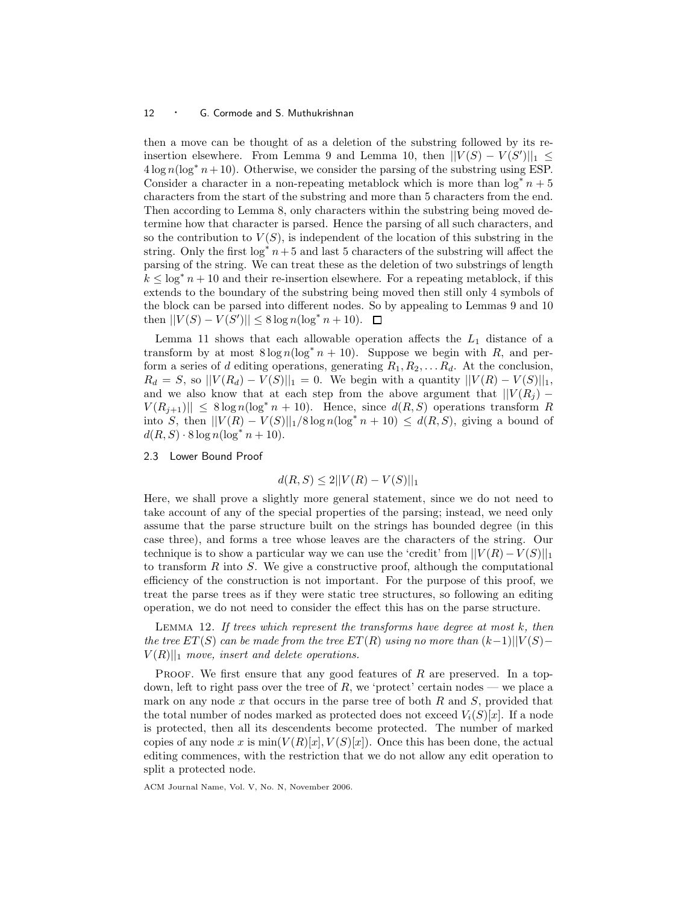then a move can be thought of as a deletion of the substring followed by its reinsertion elsewhere. From Lemma 9 and Lemma 10, then  $||V(S) - V(S')||_1 \le$  $4 \log n (\log^* n + 10)$ . Otherwise, we consider the parsing of the substring using ESP. Consider a character in a non-repeating metablock which is more than  $\log^* n + 5$ characters from the start of the substring and more than 5 characters from the end. Then according to Lemma 8, only characters within the substring being moved determine how that character is parsed. Hence the parsing of all such characters, and so the contribution to  $V(S)$ , is independent of the location of this substring in the string. Only the first  $\log^* n + 5$  and last 5 characters of the substring will affect the parsing of the string. We can treat these as the deletion of two substrings of length  $k \leq \log^* n + 10$  and their re-insertion elsewhere. For a repeating metablock, if this extends to the boundary of the substring being moved then still only 4 symbols of the block can be parsed into different nodes. So by appealing to Lemmas 9 and 10 then  $||V(S) - V(S')|| \leq 8 \log n (\log^* n + 10)$ .

Lemma 11 shows that each allowable operation affects the  $L_1$  distance of a transform by at most  $8 \log n (\log^* n + 10)$ . Suppose we begin with R, and perform a series of d editing operations, generating  $R_1, R_2, \ldots, R_d$ . At the conclusion,  $R_d = S$ , so  $||V(R_d) - V(S)||_1 = 0$ . We begin with a quantity  $||V(R) - V(S)||_1$ , and we also know that at each step from the above argument that  $||V(R_i) V(R_{j+1})$ ||  $\leq 8 \log n(\log^* n + 10)$ . Hence, since  $d(R, S)$  operations transform R into S, then  $||V(R) - V(S)||_1/8 \log n(\log^* n + 10) \leq d(R, S)$ , giving a bound of  $d(R, S) \cdot 8 \log n (\log^* n + 10).$ 

#### 2.3 Lower Bound Proof

# $d(R, S) \leq 2||V(R) - V(S)||_1$

Here, we shall prove a slightly more general statement, since we do not need to take account of any of the special properties of the parsing; instead, we need only assume that the parse structure built on the strings has bounded degree (in this case three), and forms a tree whose leaves are the characters of the string. Our technique is to show a particular way we can use the 'credit' from  $||V(R) - V(S)||_1$ to transform  $R$  into  $S$ . We give a constructive proof, although the computational efficiency of the construction is not important. For the purpose of this proof, we treat the parse trees as if they were static tree structures, so following an editing operation, we do not need to consider the effect this has on the parse structure.

Lemma 12. If trees which represent the transforms have degree at most k, then the tree  $ET(S)$  can be made from the tree  $ET(R)$  using no more than  $(k-1)||V(S)$  $V(R)$ ||1 move, insert and delete operations.

PROOF. We first ensure that any good features of R are preserved. In a topdown, left to right pass over the tree of R, we 'protect' certain nodes — we place a mark on any node x that occurs in the parse tree of both  $R$  and  $S$ , provided that the total number of nodes marked as protected does not exceed  $V_i(S)[x]$ . If a node is protected, then all its descendents become protected. The number of marked copies of any node x is  $\min(V(R)[x], V(S)[x])$ . Once this has been done, the actual editing commences, with the restriction that we do not allow any edit operation to split a protected node.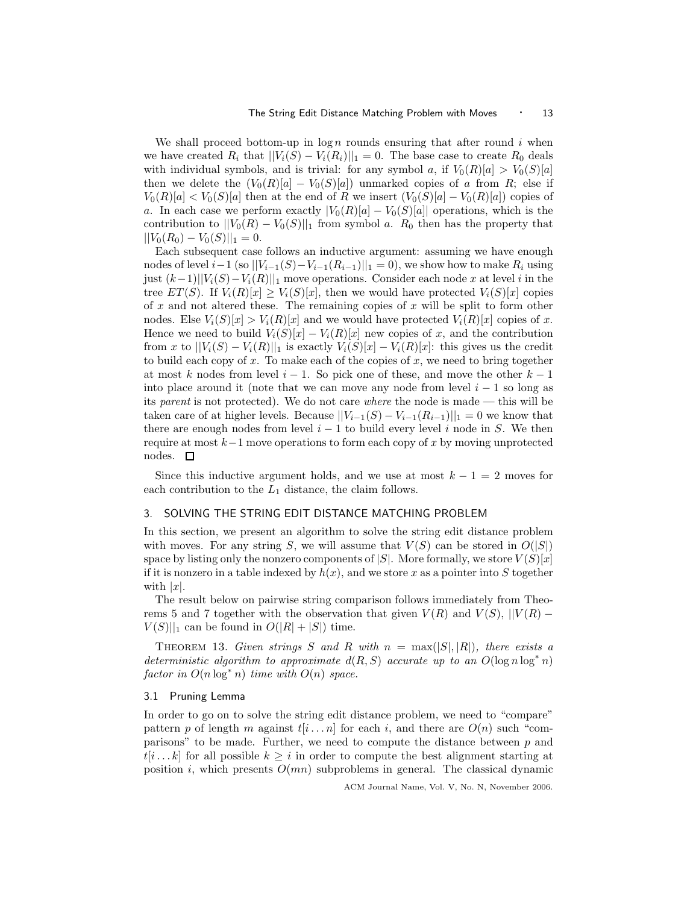We shall proceed bottom-up in  $\log n$  rounds ensuring that after round i when we have created  $R_i$  that  $||V_i(S) - V_i(R_i)||_1 = 0$ . The base case to create  $R_0$  deals with individual symbols, and is trivial: for any symbol a, if  $V_0(R)[a] > V_0(S)[a]$ then we delete the  $(V_0(R)[a] - V_0(S)[a])$  unmarked copies of a from R; else if  $V_0(R)[a] < V_0(S)[a]$  then at the end of R we insert  $(V_0(S)[a] - V_0(R)[a])$  copies of a. In each case we perform exactly  $|V_0(R)[a] - V_0(S)[a]|$  operations, which is the contribution to  $||V_0(R) - V_0(S)||_1$  from symbol a.  $R_0$  then has the property that  $||V_0(R_0) - V_0(S)||_1 = 0.$ 

Each subsequent case follows an inductive argument: assuming we have enough nodes of level  $i-1$  (so  $||V_{i-1}(S)-V_{i-1}(R_{i-1})||_1 = 0$ ), we show how to make  $R_i$  using just  $(k-1)||V_i(S)-V_i(R)||_1$  move operations. Consider each node x at level i in the tree  $ET(S)$ . If  $V_i(R)[x] \geq V_i(S)[x]$ , then we would have protected  $V_i(S)[x]$  copies of x and not altered these. The remaining copies of  $x$  will be split to form other nodes. Else  $V_i(S)[x] > V_i(R)[x]$  and we would have protected  $V_i(R)[x]$  copies of x. Hence we need to build  $V_i(S)[x] - V_i(R)[x]$  new copies of x, and the contribution from x to  $||V_i(S) - V_i(R)||_1$  is exactly  $V_i(S)[x] - V_i(R)[x]$ : this gives us the credit to build each copy of x. To make each of the copies of x, we need to bring together at most k nodes from level  $i - 1$ . So pick one of these, and move the other  $k - 1$ into place around it (note that we can move any node from level  $i - 1$  so long as its parent is not protected). We do not care where the node is made — this will be taken care of at higher levels. Because  $||V_{i-1}(S) - V_{i-1}(R_{i-1})||_1 = 0$  we know that there are enough nodes from level  $i - 1$  to build every level i node in S. We then require at most  $k-1$  move operations to form each copy of x by moving unprotected nodes.  $\square$ 

Since this inductive argument holds, and we use at most  $k - 1 = 2$  moves for each contribution to the  $L_1$  distance, the claim follows.

#### 3. SOLVING THE STRING EDIT DISTANCE MATCHING PROBLEM

In this section, we present an algorithm to solve the string edit distance problem with moves. For any string S, we will assume that  $V(S)$  can be stored in  $O(|S|)$ space by listing only the nonzero components of  $|S|$ . More formally, we store  $V(S)[x]$ if it is nonzero in a table indexed by  $h(x)$ , and we store x as a pointer into S together with  $|x|$ .

The result below on pairwise string comparison follows immediately from Theorems 5 and 7 together with the observation that given  $V(R)$  and  $V(S)$ ,  $||V(R) V(S)||_1$  can be found in  $O(|R|+|S|)$  time.

THEOREM 13. Given strings S and R with  $n = \max(|S|, |R|)$ , there exists a deterministic algorithm to approximate  $d(R, S)$  accurate up to an  $O(\log n \log^* n)$ factor in  $O(n \log^* n)$  time with  $O(n)$  space.

# 3.1 Pruning Lemma

In order to go on to solve the string edit distance problem, we need to "compare" pattern p of length m against  $t[i \dots n]$  for each i, and there are  $O(n)$  such "comparisons" to be made. Further, we need to compute the distance between  $p$  and  $t[i...k]$  for all possible  $k \geq i$  in order to compute the best alignment starting at position i, which presents  $O(mn)$  subproblems in general. The classical dynamic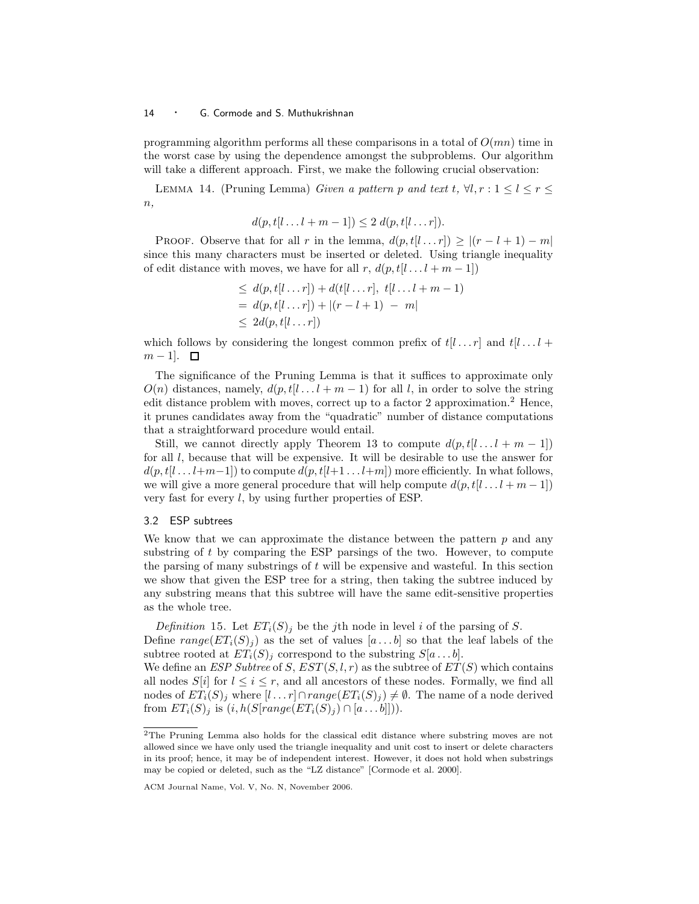programming algorithm performs all these comparisons in a total of  $O(mn)$  time in the worst case by using the dependence amongst the subproblems. Our algorithm will take a different approach. First, we make the following crucial observation:

LEMMA 14. (Pruning Lemma) Given a pattern p and text t,  $\forall l, r : 1 \leq l \leq r \leq$  $n,$ 

$$
d(p, t[l \dots l + m - 1]) \le 2 d(p, t[l \dots r]).
$$

PROOF. Observe that for all r in the lemma,  $d(p, t[l \dots r]) \ge |(r - l + 1) - m|$ since this many characters must be inserted or deleted. Using triangle inequality of edit distance with moves, we have for all r,  $d(p, t[l \dots l + m - 1])$ 

$$
\leq d(p, t[l \dots r]) + d(t[l \dots r], t[l \dots l + m - 1) = d(p, t[l \dots r]) + |(r - l + 1) - m| \leq 2d(p, t[l \dots r])
$$

which follows by considering the longest common prefix of  $t[l \dots r]$  and  $t[l \dots l +$  $m-1$ .  $\square$ 

The significance of the Pruning Lemma is that it suffices to approximate only  $O(n)$  distances, namely,  $d(p, t_l], \ldots, l + m - 1)$  for all l, in order to solve the string edit distance problem with moves, correct up to a factor 2 approximation.<sup>2</sup> Hence, it prunes candidates away from the "quadratic" number of distance computations that a straightforward procedure would entail.

Still, we cannot directly apply Theorem 13 to compute  $d(p, t[l \dots l + m - 1])$ for all l, because that will be expensive. It will be desirable to use the answer for  $d(p, t[l \dots l+m-1])$  to compute  $d(p, t[l+1 \dots l+m])$  more efficiently. In what follows, we will give a more general procedure that will help compute  $d(p, t[i \dots l+m-1])$ very fast for every l, by using further properties of ESP.

## 3.2 ESP subtrees

We know that we can approximate the distance between the pattern  $p$  and any substring of  $t$  by comparing the ESP parsings of the two. However, to compute the parsing of many substrings of  $t$  will be expensive and wasteful. In this section we show that given the ESP tree for a string, then taking the subtree induced by any substring means that this subtree will have the same edit-sensitive properties as the whole tree.

Definition 15. Let  $ET_i(S)_j$  be the jth node in level i of the parsing of S. Define  $range(ET_i(S)_j)$  as the set of values  $[a...b]$  so that the leaf labels of the subtree rooted at  $ET_i(S)_i$  correspond to the substring  $S[a \dots b]$ . We define an *ESP Subtree* of S,  $EST(S, l, r)$  as the subtree of  $ET(S)$  which contains

all nodes  $S[i]$  for  $l \leq i \leq r$ , and all ancestors of these nodes. Formally, we find all nodes of  $ET_i(S)_j$  where  $[l \dots r] \cap range(ET_i(S)_j) \neq \emptyset$ . The name of a node derived from  $ET_i(S)_j$  is  $(i, h(S[range(ET_i(S)_j) \cap [a...b]]))$ .

<sup>2</sup>The Pruning Lemma also holds for the classical edit distance where substring moves are not allowed since we have only used the triangle inequality and unit cost to insert or delete characters in its proof; hence, it may be of independent interest. However, it does not hold when substrings may be copied or deleted, such as the "LZ distance" [Cormode et al. 2000].

ACM Journal Name, Vol. V, No. N, November 2006.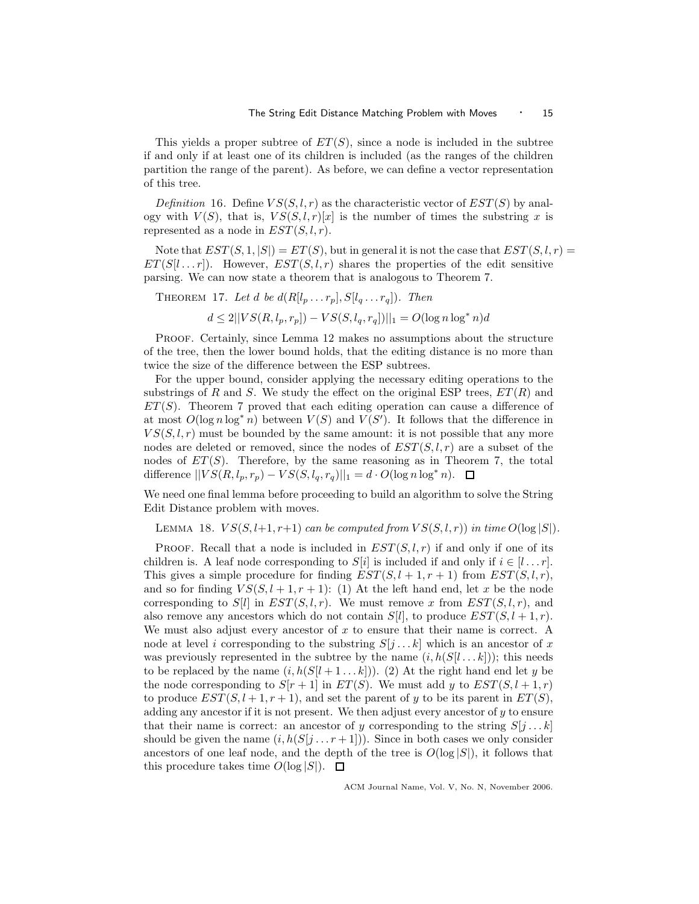This yields a proper subtree of  $ET(S)$ , since a node is included in the subtree if and only if at least one of its children is included (as the ranges of the children partition the range of the parent). As before, we can define a vector representation of this tree.

Definition 16. Define  $VS(S, l, r)$  as the characteristic vector of  $EST(S)$  by analogy with  $V(S)$ , that is,  $VS(S, l, r)[x]$  is the number of times the substring x is represented as a node in  $EST(S, l, r)$ .

Note that  $EST(S, 1, |S|) = ET(S)$ , but in general it is not the case that  $EST(S, l, r) =$  $ET(S[l \dots r])$ . However,  $EST(S, l, r)$  shares the properties of the edit sensitive parsing. We can now state a theorem that is analogous to Theorem 7.

THEOREM 17. Let d be  $d(R[l_p \dots r_p], S[l_q \dots r_q])$ . Then

$$
d\leq 2||VS(R,l_p,r_p])-VS(S,l_q,r_q))||_1=O(\log n\log^* n)d
$$

PROOF. Certainly, since Lemma 12 makes no assumptions about the structure of the tree, then the lower bound holds, that the editing distance is no more than twice the size of the difference between the ESP subtrees.

For the upper bound, consider applying the necessary editing operations to the substrings of R and S. We study the effect on the original ESP trees,  $ET(R)$  and  $ET(S)$ . Theorem 7 proved that each editing operation can cause a difference of at most  $O(\log n \log^* n)$  between  $V(S)$  and  $V(S')$ . It follows that the difference in  $VS(S, l, r)$  must be bounded by the same amount: it is not possible that any more nodes are deleted or removed, since the nodes of  $EST(S, l, r)$  are a subset of the nodes of  $ET(S)$ . Therefore, by the same reasoning as in Theorem 7, the total difference  $||VS(R, l_p, r_p) - VS(S, l_q, r_q)||_1 = d \cdot O(\log n \log^* n)$ .

We need one final lemma before proceeding to build an algorithm to solve the String Edit Distance problem with moves.

LEMMA 18.  $VS(S, l+1, r+1)$  can be computed from  $VS(S, l, r)$  in time  $O(\log |S|)$ .

**PROOF.** Recall that a node is included in  $EST(S, l, r)$  if and only if one of its children is. A leaf node corresponding to  $S[i]$  is included if and only if  $i \in [l \dots r]$ . This gives a simple procedure for finding  $EST(S, l + 1, r + 1)$  from  $EST(S, l, r)$ , and so for finding  $VS(S, l+1, r+1)$ : (1) At the left hand end, let x be the node corresponding to  $S[l]$  in  $EST(S, l, r)$ . We must remove x from  $EST(S, l, r)$ , and also remove any ancestors which do not contain  $S[l]$ , to produce  $EST(S, l + 1, r)$ . We must also adjust every ancestor of  $x$  to ensure that their name is correct. A node at level i corresponding to the substring  $S[j...k]$  which is an ancestor of x was previously represented in the subtree by the name  $(i, h(S[l \dots k]))$ ; this needs to be replaced by the name  $(i, h(S[l + 1...k]))$ . (2) At the right hand end let y be the node corresponding to  $S[r+1]$  in  $ET(S)$ . We must add y to  $EST(S, l+1, r)$ to produce  $EST(S, l+1, r+1)$ , and set the parent of y to be its parent in  $ET(S)$ , adding any ancestor if it is not present. We then adjust every ancestor of  $y$  to ensure that their name is correct: an ancestor of y corresponding to the string  $S[i \dots k]$ should be given the name  $(i, h(S[j \ldots r+1]))$ . Since in both cases we only consider ancestors of one leaf node, and the depth of the tree is  $O(\log |S|)$ , it follows that this procedure takes time  $O(\log |S|)$ .  $\Box$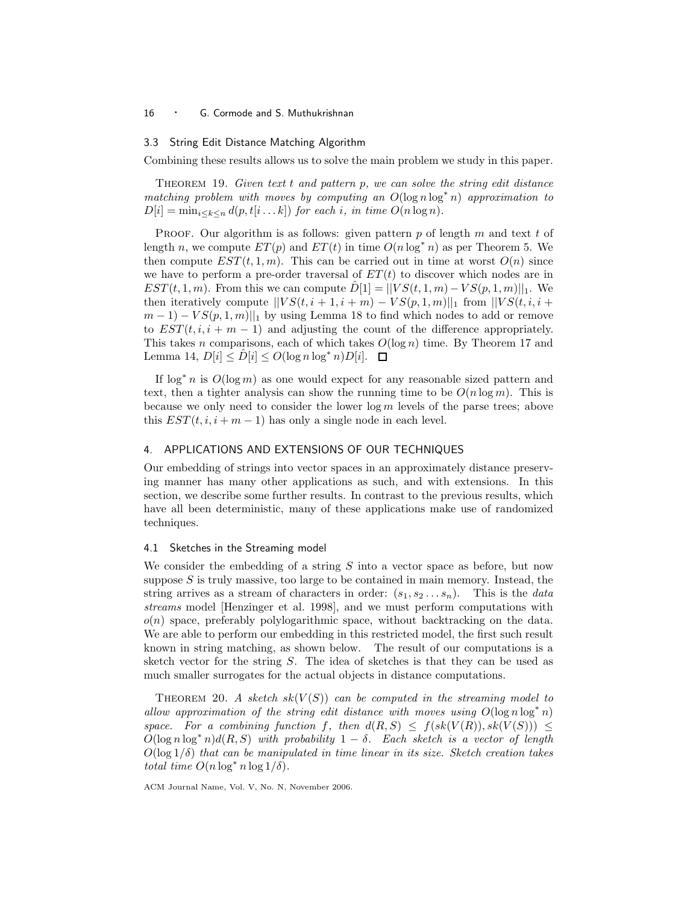#### 3.3 String Edit Distance Matching Algorithm

Combining these results allows us to solve the main problem we study in this paper.

THEOREM 19. Given text t and pattern  $p$ , we can solve the string edit distance matching problem with moves by computing an  $O(\log n \log^* n)$  approximation to  $D[i] = \min_{i \leq k \leq n} d(p, t[i \dots k])$  for each i, in time  $O(n \log n)$ .

**PROOF.** Our algorithm is as follows: given pattern p of length m and text t of length n, we compute  $ET(p)$  and  $ET(t)$  in time  $O(n \log^* n)$  as per Theorem 5. We then compute  $EST(t,1,m)$ . This can be carried out in time at worst  $O(n)$  since we have to perform a pre-order traversal of  $ET(t)$  to discover which nodes are in  $EST(t, 1, m)$ . From this we can compute  $D[1] = ||VS(t, 1, m) - VS(p, 1, m)||_1$ . We then iteratively compute ||V S(t, i + 1, i + m) − V S(p, 1, m)||<sup>1</sup> from ||V S(t, i, i +  $m-1$ ) –  $VS(p,1,m)||_1$  by using Lemma 18 to find which nodes to add or remove to  $EST(t, i, i + m - 1)$  and adjusting the count of the difference appropriately. This takes n comparisons, each of which takes  $O(\log n)$  time. By Theorem 17 and Lemma 14,  $D[i] \leq D[i] \leq O(\log n \log^* n)D[i]$ .  $\Box$ 

If  $\log^* n$  is  $O(\log m)$  as one would expect for any reasonable sized pattern and text, then a tighter analysis can show the running time to be  $O(n \log m)$ . This is because we only need to consider the lower  $\log m$  levels of the parse trees; above this  $EST(t, i, i + m - 1)$  has only a single node in each level.

## 4. APPLICATIONS AND EXTENSIONS OF OUR TECHNIQUES

Our embedding of strings into vector spaces in an approximately distance preserving manner has many other applications as such, and with extensions. In this section, we describe some further results. In contrast to the previous results, which have all been deterministic, many of these applications make use of randomized techniques.

## 4.1 Sketches in the Streaming model

We consider the embedding of a string  $S$  into a vector space as before, but now suppose  $S$  is truly massive, too large to be contained in main memory. Instead, the string arrives as a stream of characters in order:  $(s_1, s_2 \ldots s_n)$ . This is the *data* streams model [Henzinger et al. 1998], and we must perform computations with  $o(n)$  space, preferably polylogarithmic space, without backtracking on the data. We are able to perform our embedding in this restricted model, the first such result known in string matching, as shown below. The result of our computations is a sketch vector for the string S. The idea of sketches is that they can be used as much smaller surrogates for the actual objects in distance computations.

THEOREM 20. A sketch  $sk(V(S))$  can be computed in the streaming model to allow approximation of the string edit distance with moves using  $O(\log n \log^* n)$ space. For a combining function f, then  $d(R, S) \leq f(s k (V(R)), sk(V(S))) \leq$  $O(\log n \log^* n) d(R, S)$  with probability  $1 - \delta$ . Each sketch is a vector of length  $O(\log 1/\delta)$  that can be manipulated in time linear in its size. Sketch creation takes total time  $O(n \log^* n \log 1/\delta)$ .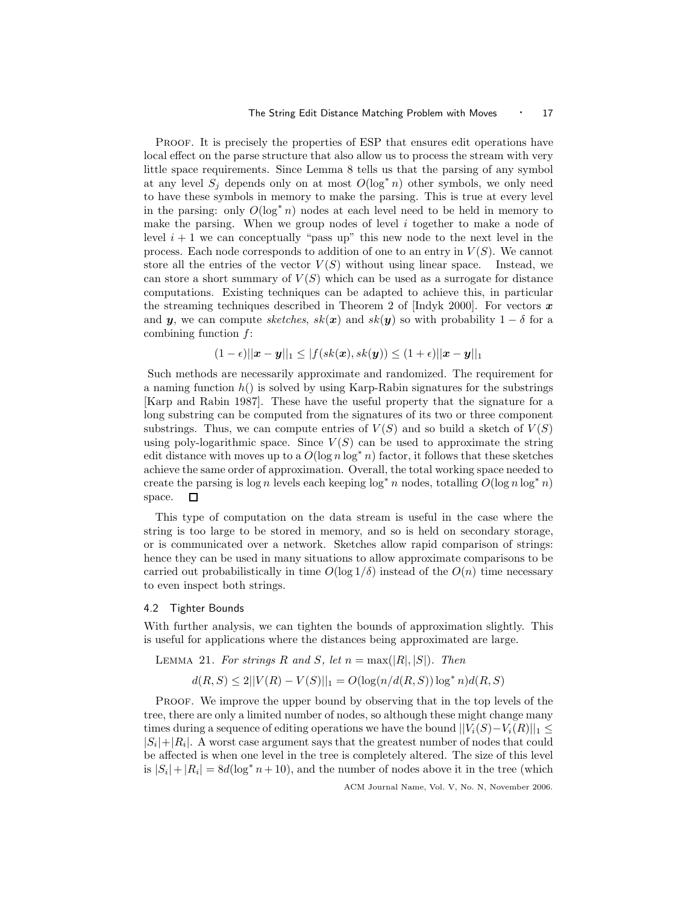Proof. It is precisely the properties of ESP that ensures edit operations have local effect on the parse structure that also allow us to process the stream with very little space requirements. Since Lemma 8 tells us that the parsing of any symbol at any level  $S_i$  depends only on at most  $O(\log^* n)$  other symbols, we only need to have these symbols in memory to make the parsing. This is true at every level in the parsing: only  $O(\log^* n)$  nodes at each level need to be held in memory to make the parsing. When we group nodes of level  $i$  together to make a node of level  $i + 1$  we can conceptually "pass up" this new node to the next level in the process. Each node corresponds to addition of one to an entry in  $V(S)$ . We cannot store all the entries of the vector  $V(S)$  without using linear space. Instead, we can store a short summary of  $V(S)$  which can be used as a surrogate for distance computations. Existing techniques can be adapted to achieve this, in particular the streaming techniques described in Theorem 2 of  $[$ Indyk 2000 $]$ . For vectors x and y, we can compute sketches, sk(x) and sk(y) so with probability  $1 - \delta$  for a combining function f:

$$
(1-\epsilon)||\mathbf{x}-\mathbf{y}||_1 \leq |f(sk(\mathbf{x}),sk(\mathbf{y})) \leq (1+\epsilon)||\mathbf{x}-\mathbf{y}||_1
$$

Such methods are necessarily approximate and randomized. The requirement for a naming function  $h()$  is solved by using Karp-Rabin signatures for the substrings [Karp and Rabin 1987]. These have the useful property that the signature for a long substring can be computed from the signatures of its two or three component substrings. Thus, we can compute entries of  $V(S)$  and so build a sketch of  $V(S)$ using poly-logarithmic space. Since  $V(S)$  can be used to approximate the string edit distance with moves up to a  $O(\log n \log^* n)$  factor, it follows that these sketches achieve the same order of approximation. Overall, the total working space needed to create the parsing is  $\log n$  levels each keeping  $\log^* n$  nodes, totalling  $O(\log n \log^* n)$ space. □

This type of computation on the data stream is useful in the case where the string is too large to be stored in memory, and so is held on secondary storage, or is communicated over a network. Sketches allow rapid comparison of strings: hence they can be used in many situations to allow approximate comparisons to be carried out probabilistically in time  $O(\log 1/\delta)$  instead of the  $O(n)$  time necessary to even inspect both strings.

#### 4.2 Tighter Bounds

With further analysis, we can tighten the bounds of approximation slightly. This is useful for applications where the distances being approximated are large.

LEMMA 21. For strings R and S, let 
$$
n = \max(|R|, |S|)
$$
. Then  $d(R, S) \leq 2||V(R) - V(S)||_1 = O(\log(n/d(R, S)) \log^* n)d(R, S)$ 

Proof. We improve the upper bound by observing that in the top levels of the tree, there are only a limited number of nodes, so although these might change many times during a sequence of editing operations we have the bound  $||V_i(S)-V_i(R)||_1 \le$  $|S_i| + |R_i|$ . A worst case argument says that the greatest number of nodes that could be affected is when one level in the tree is completely altered. The size of this level is  $|S_i| + |R_i| = 8d(\log^* n + 10)$ , and the number of nodes above it in the tree (which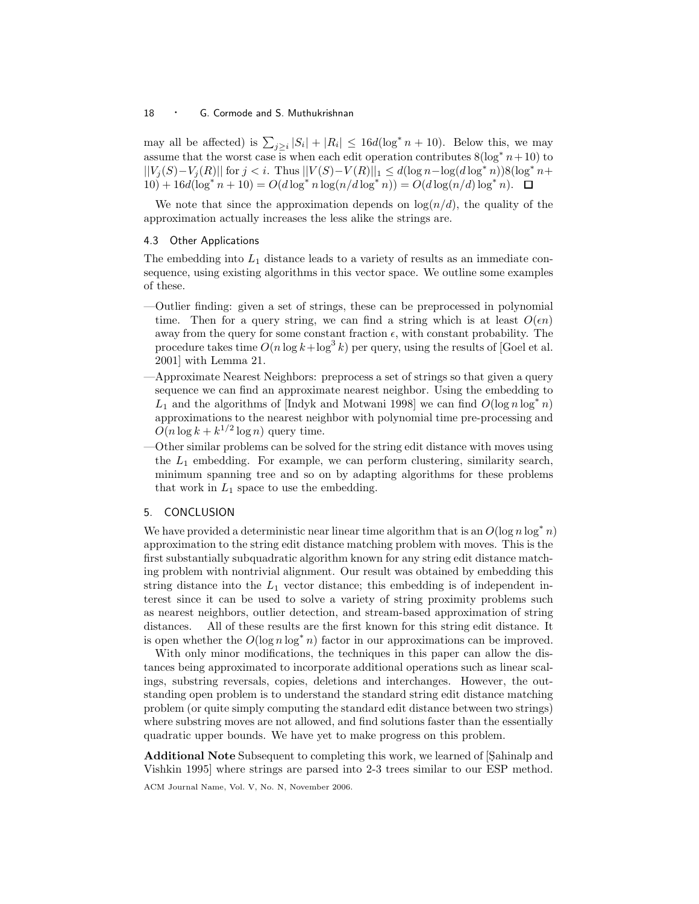may all be affected) is  $\sum_{j\geq i} |S_i| + |R_i| \leq 16d(\log^* n + 10)$ . Below this, we may assume that the worst case is when each edit operation contributes  $8(\log^* n+10)$  to  $||V_i(S)-V_i(R)||$  for  $i < i$ . Thus  $||V(S)-V(R)||_1 < d(\log n - \log(d \log^* n))8(\log^* n +$ 10) + 16d(log<sup>\*</sup> n + 10) =  $O(d \log^* n \log(n/d \log^* n)) = O(d \log(n/d) \log^* n)$ . □

We note that since the approximation depends on  $\log(n/d)$ , the quality of the approximation actually increases the less alike the strings are.

#### 4.3 Other Applications

The embedding into  $L_1$  distance leads to a variety of results as an immediate consequence, using existing algorithms in this vector space. We outline some examples of these.

- —Outlier finding: given a set of strings, these can be preprocessed in polynomial time. Then for a query string, we can find a string which is at least  $O(\epsilon n)$ away from the query for some constant fraction  $\epsilon$ , with constant probability. The procedure takes time  $O(n \log k + \log^3 k)$  per query, using the results of [Goel et al. 2001] with Lemma 21.
- —Approximate Nearest Neighbors: preprocess a set of strings so that given a query sequence we can find an approximate nearest neighbor. Using the embedding to  $L_1$  and the algorithms of [Indyk and Motwani 1998] we can find  $O(\log n \log^* n)$ approximations to the nearest neighbor with polynomial time pre-processing and  $O(n \log k + k^{1/2} \log n)$  query time.
- —Other similar problems can be solved for the string edit distance with moves using the  $L_1$  embedding. For example, we can perform clustering, similarity search, minimum spanning tree and so on by adapting algorithms for these problems that work in  $L_1$  space to use the embedding.

# 5. CONCLUSION

We have provided a deterministic near linear time algorithm that is an  $O(\log n \log^* n)$ approximation to the string edit distance matching problem with moves. This is the first substantially subquadratic algorithm known for any string edit distance matching problem with nontrivial alignment. Our result was obtained by embedding this string distance into the  $L_1$  vector distance; this embedding is of independent interest since it can be used to solve a variety of string proximity problems such as nearest neighbors, outlier detection, and stream-based approximation of string distances. All of these results are the first known for this string edit distance. It is open whether the  $O(\log n \log^* n)$  factor in our approximations can be improved.

With only minor modifications, the techniques in this paper can allow the distances being approximated to incorporate additional operations such as linear scalings, substring reversals, copies, deletions and interchanges. However, the outstanding open problem is to understand the standard string edit distance matching problem (or quite simply computing the standard edit distance between two strings) where substring moves are not allowed, and find solutions faster than the essentially quadratic upper bounds. We have yet to make progress on this problem.

Additional Note Subsequent to completing this work, we learned of [Sahinalp and Vishkin 1995] where strings are parsed into 2-3 trees similar to our ESP method.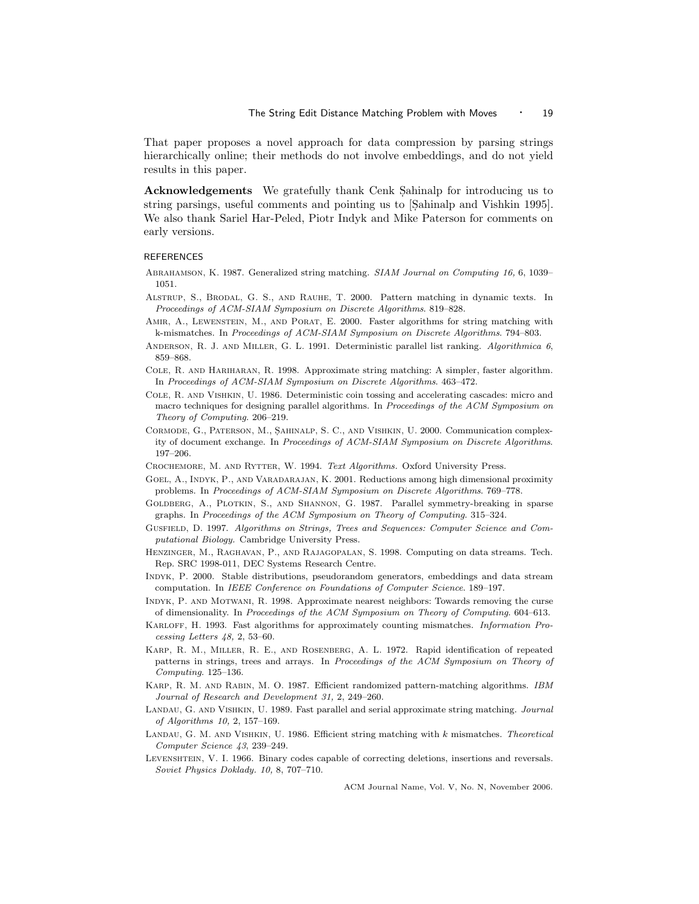That paper proposes a novel approach for data compression by parsing strings hierarchically online; their methods do not involve embeddings, and do not yield results in this paper.

Acknowledgements We gratefully thank Cenk Sahinalp for introducing us to string parsings, useful comments and pointing us to [Sahinalp and Vishkin 1995]. We also thank Sariel Har-Peled, Piotr Indyk and Mike Paterson for comments on early versions.

#### REFERENCES

- Abrahamson, K. 1987. Generalized string matching. SIAM Journal on Computing 16, 6, 1039– 1051.
- Alstrup, S., Brodal, G. S., and Rauhe, T. 2000. Pattern matching in dynamic texts. In Proceedings of ACM-SIAM Symposium on Discrete Algorithms. 819–828.
- AMIR, A., LEWENSTEIN, M., AND PORAT, E. 2000. Faster algorithms for string matching with k-mismatches. In Proceedings of ACM-SIAM Symposium on Discrete Algorithms. 794–803.
- Anderson, R. J. and Miller, G. L. 1991. Deterministic parallel list ranking. Algorithmica 6, 859–868.
- Cole, R. and Hariharan, R. 1998. Approximate string matching: A simpler, faster algorithm. In Proceedings of ACM-SIAM Symposium on Discrete Algorithms. 463–472.
- Cole, R. and Vishkin, U. 1986. Deterministic coin tossing and accelerating cascades: micro and macro techniques for designing parallel algorithms. In Proceedings of the ACM Symposium on Theory of Computing. 206–219.
- CORMODE, G., PATERSON, M., SAHINALP, S. C., AND VISHKIN, U. 2000. Communication complexity of document exchange. In Proceedings of ACM-SIAM Symposium on Discrete Algorithms. 197–206.
- Crochemore, M. and Rytter, W. 1994. Text Algorithms. Oxford University Press.
- Goel, A., Indyk, P., and Varadarajan, K. 2001. Reductions among high dimensional proximity problems. In Proceedings of ACM-SIAM Symposium on Discrete Algorithms. 769–778.
- Goldberg, A., Plotkin, S., and Shannon, G. 1987. Parallel symmetry-breaking in sparse graphs. In Proceedings of the ACM Symposium on Theory of Computing. 315–324.
- Gusfield, D. 1997. Algorithms on Strings, Trees and Sequences: Computer Science and Computational Biology. Cambridge University Press.
- Henzinger, M., Raghavan, P., and Rajagopalan, S. 1998. Computing on data streams. Tech. Rep. SRC 1998-011, DEC Systems Research Centre.
- Indyk, P. 2000. Stable distributions, pseudorandom generators, embeddings and data stream computation. In IEEE Conference on Foundations of Computer Science. 189–197.
- Indyk, P. and Motwani, R. 1998. Approximate nearest neighbors: Towards removing the curse of dimensionality. In Proceedings of the ACM Symposium on Theory of Computing. 604–613.
- Karloff, H. 1993. Fast algorithms for approximately counting mismatches. Information Processing Letters 48, 2, 53–60.
- Karp, R. M., Miller, R. E., and Rosenberg, A. L. 1972. Rapid identification of repeated patterns in strings, trees and arrays. In Proceedings of the ACM Symposium on Theory of Computing. 125–136.
- Karp, R. M. and Rabin, M. O. 1987. Efficient randomized pattern-matching algorithms. IBM Journal of Research and Development 31, 2, 249–260.
- Landau, G. and Vishkin, U. 1989. Fast parallel and serial approximate string matching. Journal of Algorithms 10, 2, 157–169.
- LANDAU, G. M. AND VISHKIN, U. 1986. Efficient string matching with k mismatches. Theoretical Computer Science 43, 239–249.
- Levenshtein, V. I. 1966. Binary codes capable of correcting deletions, insertions and reversals. Soviet Physics Doklady. 10, 8, 707–710.